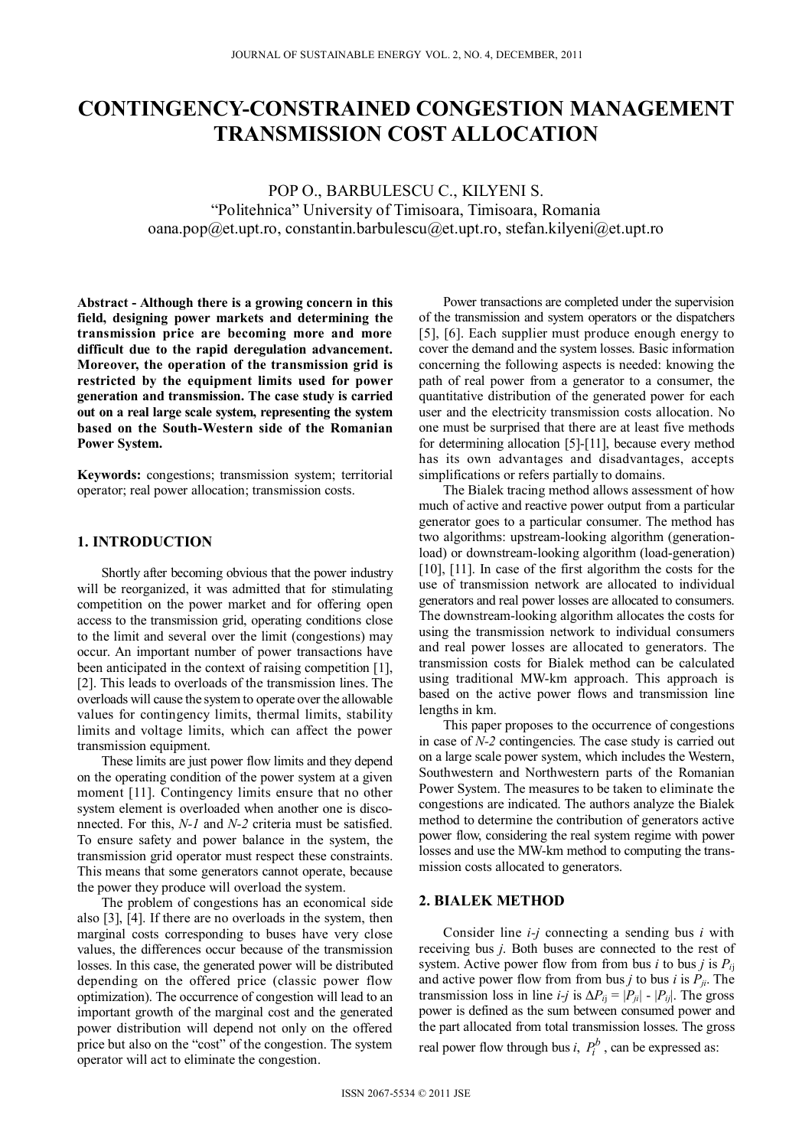# **CONTINGENCY-CONSTRAINED CONGESTION MANAGEMENT TRANSMISSION COST ALLOCATION**

POP O., BARBULESCU C., KILYENI S. "Politehnica" University of Timisoara, Timisoara, Romania oana.pop@et.upt.ro, constantin.barbulescu@et.upt.ro, stefan.kilyeni@et.upt.ro

**Abstract - Although there is a growing concern in this field, designing power markets and determining the transmission price are becoming more and more difficult due to the rapid deregulation advancement. Moreover, the operation of the transmission grid is restricted by the equipment limits used for power generation and transmission. The case study is carried out on a real large scale system, representing the system based on the South-Western side of the Romanian Power System.** 

**Keywords:** congestions; transmission system; territorial operator; real power allocation; transmission costs.

#### **1. INTRODUCTION**

Shortly after becoming obvious that the power industry will be reorganized, it was admitted that for stimulating competition on the power market and for offering open access to the transmission grid, operating conditions close to the limit and several over the limit (congestions) may occur. An important number of power transactions have been anticipated in the context of raising competition [1], [2]. This leads to overloads of the transmission lines. The overloads will cause the system to operate over the allowable values for contingency limits, thermal limits, stability limits and voltage limits, which can affect the power transmission equipment.

These limits are just power flow limits and they depend on the operating condition of the power system at a given moment [11]. Contingency limits ensure that no other system element is overloaded when another one is disconnected. For this, *N-1* and *N-2* criteria must be satisfied. To ensure safety and power balance in the system, the transmission grid operator must respect these constraints. This means that some generators cannot operate, because the power they produce will overload the system.

The problem of congestions has an economical side also [3], [4]. If there are no overloads in the system, then marginal costs corresponding to buses have very close values, the differences occur because of the transmission losses. In this case, the generated power will be distributed depending on the offered price (classic power flow optimization). The occurrence of congestion will lead to an important growth of the marginal cost and the generated power distribution will depend not only on the offered price but also on the "cost" of the congestion. The system operator will act to eliminate the congestion.

Power transactions are completed under the supervision of the transmission and system operators or the dispatchers [5], [6]. Each supplier must produce enough energy to cover the demand and the system losses. Basic information concerning the following aspects is needed: knowing the path of real power from a generator to a consumer, the quantitative distribution of the generated power for each user and the electricity transmission costs allocation. No one must be surprised that there are at least five methods for determining allocation [5]-[11], because every method has its own advantages and disadvantages, accepts simplifications or refers partially to domains.

The Bialek tracing method allows assessment of how much of active and reactive power output from a particular generator goes to a particular consumer. The method has two algorithms: upstream-looking algorithm (generationload) or downstream-looking algorithm (load-generation) [10], [11]. In case of the first algorithm the costs for the use of transmission network are allocated to individual generators and real power losses are allocated to consumers. The downstream-looking algorithm allocates the costs for using the transmission network to individual consumers and real power losses are allocated to generators. The transmission costs for Bialek method can be calculated using traditional MW-km approach. This approach is based on the active power flows and transmission line lengths in km.

This paper proposes to the occurrence of congestions in case of *N-2* contingencies. The case study is carried out on a large scale power system, which includes the Western, Southwestern and Northwestern parts of the Romanian Power System. The measures to be taken to eliminate the congestions are indicated. The authors analyze the Bialek method to determine the contribution of generators active power flow, considering the real system regime with power losses and use the MW-km method to computing the transmission costs allocated to generators.

## **2. BIALEK METHOD**

Consider line *i-j* connecting a sending bus *i* with receiving bus *j*. Both buses are connected to the rest of system. Active power flow from from bus *i* to bus *j* is *Pi*<sup>j</sup> and active power flow from from bus *j* to bus *i* is  $P_{ji}$ . The transmission loss in line *i-j* is  $\Delta P_{ij} = |P_{ji}|$  -  $|P_{ij}|$ . The gross power is defined as the sum between consumed power and the part allocated from total transmission losses. The gross real power flow through bus *i*,  $P_i^b$ , can be expressed as: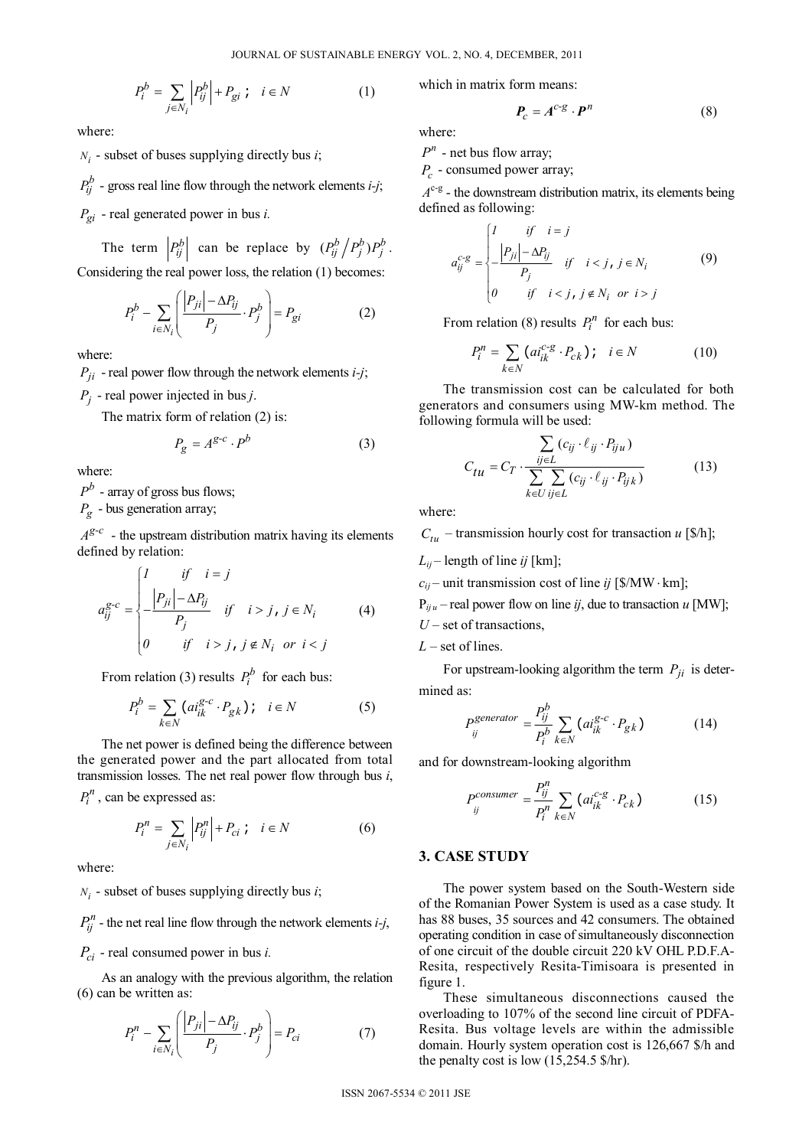$$
P_i^b = \sum_{j \in N_i} \left| P_{ij}^b \right| + P_{gi} \; ; \quad i \in N \tag{1}
$$

where:

 $N_i$  - subset of buses supplying directly bus *i*;

 $P_{ii}^{b}$  - gross real line flow through the network elements *i-j*;

*Pgi* - real generated power in bus *i.* 

The term  $\left| P_{ij}^b \right|$  can be replace by  $(P_{ij}^b / P_j^b) P_j^b$ . Considering the real power loss, the relation (1) becomes:

$$
P_i^b - \sum_{i \in N_i} \left( \frac{|P_{ji}| - \Delta P_{ij}}{P_j} \cdot P_j^b \right) = P_{gi} \tag{2}
$$

where:

 $P_{ji}$  - real power flow through the network elements *i-j*;

*Pj* - real power injected in bus *j*.

The matrix form of relation (2) is:

$$
P_g = A^{g-c} \cdot P^b \tag{3}
$$

where:

 $P^b$  - array of gross bus flows;

 $P_{\alpha}$  - bus generation array;

 $A^{g-c}$  - the upstream distribution matrix having its elements defined by relation:

$$
a_{ij}^{g-c} = \begin{cases} l & \text{if } i = j \\ \frac{|P_{ji}| - \Delta P_{ij}}{P_j} & \text{if } i > j, j \in N_i \\ 0 & \text{if } i > j, j \notin N_i \text{ or } i < j \end{cases}
$$
 (4)

From relation (3) results  $P_i^b$  for each bus:

$$
P_i^b = \sum_{k \in N} \left( a i_{ik}^{g-c} \cdot P_{gk} \right); \quad i \in N \tag{5}
$$

The net power is defined being the difference between the generated power and the part allocated from total transmission losses. The net real power flow through bus *i*,

 $P_i^n$ , can be expressed as:

$$
P_i^n = \sum_{j \in N_i} \left| P_{ij}^n \right| + P_{ci} \quad i \in N \tag{6}
$$

where:

 $N_i$  - subset of buses supplying directly bus *i*;

 $P_{ii}^{n}$  - the net real line flow through the network elements *i-j*, *Pci* - real consumed power in bus *i.* 

As an analogy with the previous algorithm, the relation (6) can be written as:

$$
P_i^n - \sum_{i \in N_i} \left( \frac{|P_{ji}| - \Delta P_{ij}}{P_j} \cdot P_j^b \right) = P_{ci} \tag{7}
$$

which in matrix form means:

$$
P_c = A^{c-g} \cdot P^n \tag{8}
$$

where:

 $P^n$  - net bus flow array;

*P<sub>c</sub>* - consumed power array;

 $A^{c-g}$  - the downstream distribution matrix, its elements being defined as following:

$$
a_{ij}^{c-g} = \begin{cases} \nI & \text{if } i = j \\ \n-I_{ji} \mid -\Delta P_{ij} & \text{if } i < j, j \in N_i \\ \n0 & \text{if } i < j, j \notin N_i \text{ or } i > j \n\end{cases} \tag{9}
$$

From relation (8) results  $P_i^n$  for each bus:

$$
P_i^n = \sum_{k \in N} \left( a i_{ik}^{c-g} \cdot P_{ck} \right); \quad i \in N \tag{10}
$$

The transmission cost can be calculated for both generators and consumers using MW-km method. The following formula will be used:

$$
C_{tu} = C_T \cdot \frac{\sum\limits_{ij \in L} (c_{ij} \cdot \ell_{ij} \cdot P_{iju})}{\sum\limits_{k \in U} \sum\limits_{ij \in L} (c_{ij} \cdot \ell_{ij} \cdot P_{ijk})}
$$
(13)

where:

 $C_{tu}$  – transmission hourly cost for transaction *u* [\$/h];

 $L_{ii}$  – length of line *ij* [km];

 $c_{ij}$  – unit transmission cost of line *ij* [\$/MW · km];

 $P_{iiu}$  – real power flow on line *ij*, due to transaction *u* [MW];

*U* – set of transactions,

*L* – set of lines.

For upstream-looking algorithm the term  $P_{ji}$  is determined as:

$$
P_{ij}^{generator} = \frac{P_{ij}^b}{P_i^b} \sum_{k \in N} (ai_{ik}^{g-c} \cdot P_{gk})
$$
 (14)

and for downstream-looking algorithm

$$
P_{ij}^{consumer} = \frac{P_{ij}^n}{P_i^n} \sum_{k \in N} (ai_{ik}^{c-g} \cdot P_{ck})
$$
 (15)

### **3. CASE STUDY**

The power system based on the South-Western side of the Romanian Power System is used as a case study. It has 88 buses, 35 sources and 42 consumers. The obtained operating condition in case of simultaneously disconnection of one circuit of the double circuit 220 kV OHL P.D.F.A-Resita, respectively Resita-Timisoara is presented in figure 1.

These simultaneous disconnections caused the overloading to 107% of the second line circuit of PDFA-Resita. Bus voltage levels are within the admissible domain. Hourly system operation cost is 126,667 \$/h and the penalty cost is low (15,254.5 \$/hr).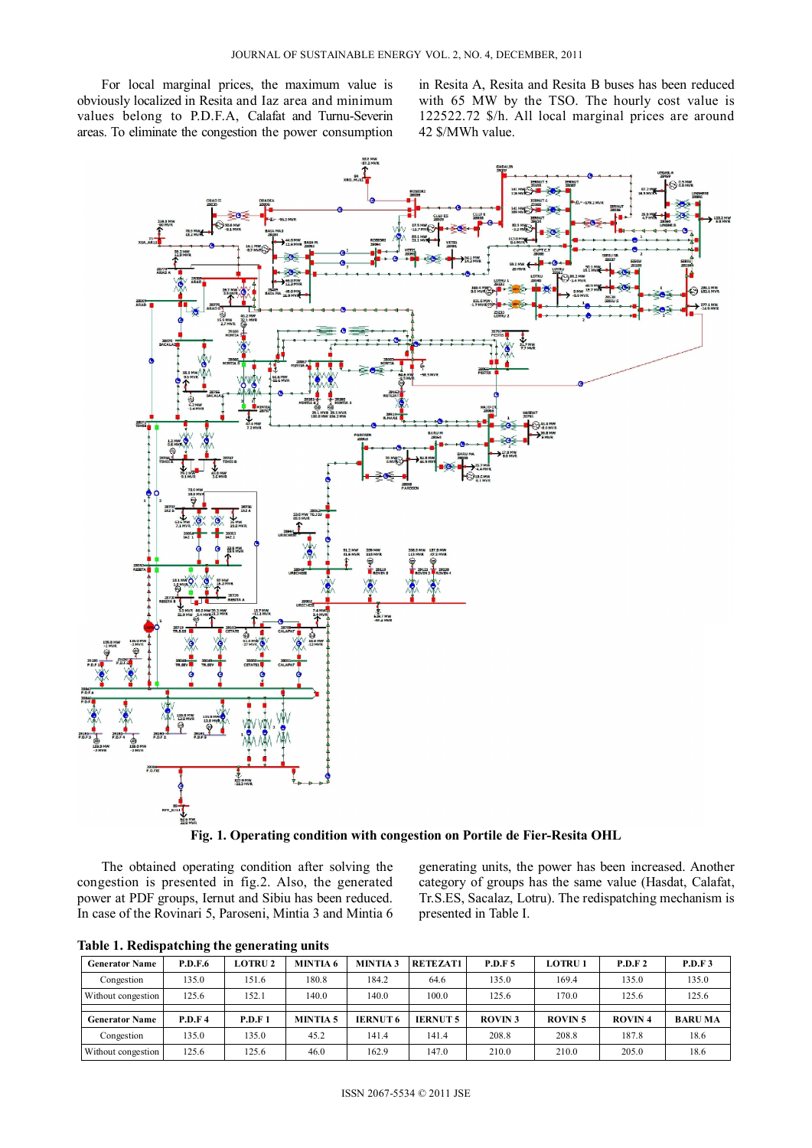For local marginal prices, the maximum value is obviously localized in Resita and Iaz area and minimum values belong to P.D.F.A, Calafat and Turnu-Severin areas. To eliminate the congestion the power consumption in Resita A, Resita and Resita B buses has been reduced with 65 MW by the TSO. The hourly cost value is 122522.72 \$/h. All local marginal prices are around 42 \$/MWh value.



**Fig. 1. Operating condition with congestion on Portile de Fier-Resita OHL** 

The obtained operating condition after solving the congestion is presented in fig.2. Also, the generated power at PDF groups, Iernut and Sibiu has been reduced. In case of the Rovinari 5, Paroseni, Mintia 3 and Mintia 6 generating units, the power has been increased. Another category of groups has the same value (Hasdat, Calafat, Tr.S.ES, Sacalaz, Lotru). The redispatching mechanism is presented in Table I.

**Table 1. Redispatching the generating units** 

| <b>Generator Name</b> | <b>P.D.F.6</b> | <b>LOTRU2</b> | <b>MINTIA 6</b> | <b>MINTIA3</b>  | <b>RETEZAT1</b> | <b>P.D.F.5</b> | <b>LOTRU1</b> | P.D.F 2       | P.D.F3         |
|-----------------------|----------------|---------------|-----------------|-----------------|-----------------|----------------|---------------|---------------|----------------|
| Congestion            | 135.0          | 151.6         | 180.8           | 184.2           | 64.6            | 135.0          | 169.4         | 135.0         | 135.0          |
| Without congestion    | 125.6          | 152.1         | 140.0           | 140.0           | 100.0           | 125.6          | 170.0         | 125.6         | 125.6          |
|                       |                |               |                 |                 |                 |                |               |               |                |
| <b>Generator Name</b> | <b>P.D.F4</b>  | P.D.F 1       | <b>MINTIA 5</b> |                 |                 |                |               |               |                |
|                       |                |               |                 | <b>IERNUT 6</b> | <b>IERNUT5</b>  | <b>ROVIN3</b>  | <b>ROVIN5</b> | <b>ROVIN4</b> | <b>BARU MA</b> |
| Congestion            | 135.0          | 135.0         | 45.2            | 141.4           | 141.4           | 208.8          | 208.8         | 187.8         | 18.6           |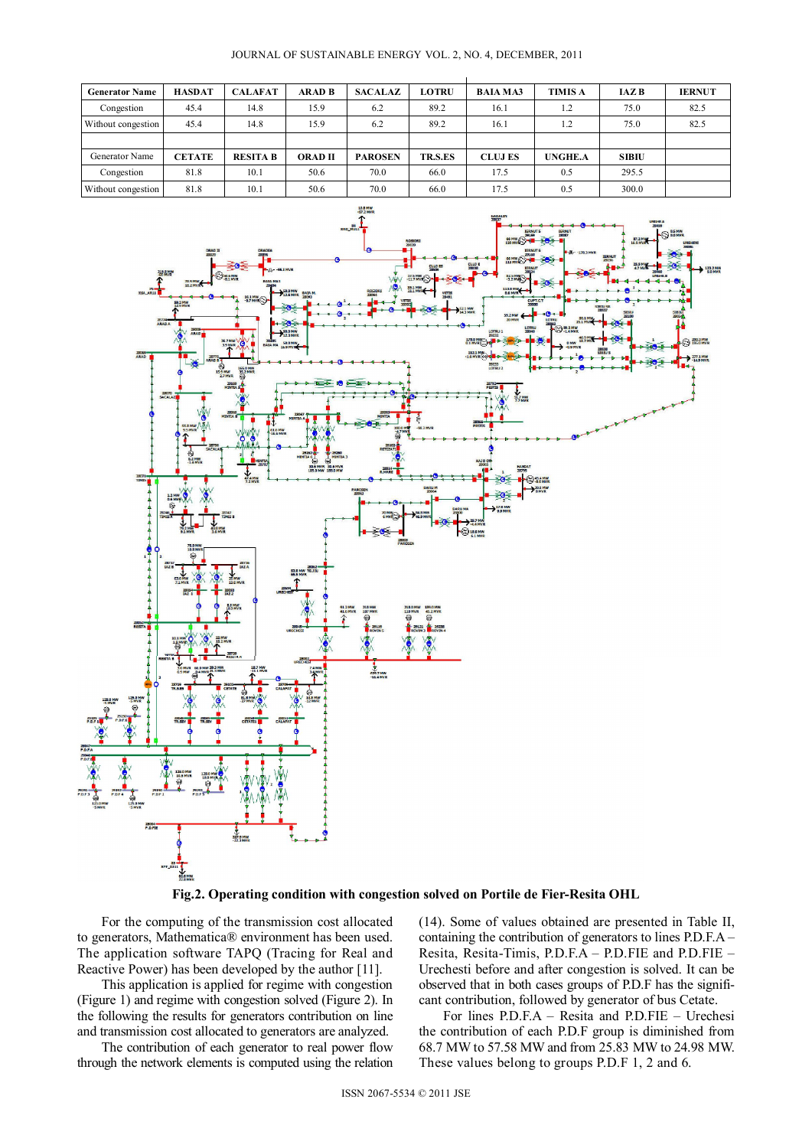| <b>Generator Name</b> | <b>HASDAT</b> | <b>CALAFAT</b>  | <b>ARAD B</b>  | <b>SACALAZ</b> | <b>LOTRU</b> | <b>BAIA MA3</b> | <b>TIMIS A</b> | <b>IAZB</b>  | <b>IERNUT</b> |
|-----------------------|---------------|-----------------|----------------|----------------|--------------|-----------------|----------------|--------------|---------------|
| Congestion            | 45.4          | 14.8            | 15.9           | 6.2            | 89.2         | 16.1            | 1.2            | 75.0         | 82.5          |
| Without congestion    | 45.4          | 14.8            | 15.9           | 6.2            | 89.2         | 16.1            | 1.2            | 75.0         | 82.5          |
|                       |               |                 |                |                |              |                 |                |              |               |
| Generator Name        | <b>CETATE</b> | <b>RESITA B</b> | <b>ORAD II</b> | <b>PAROSEN</b> | TR.S.ES      | <b>CLUJ ES</b>  | <b>UNGHE.A</b> | <b>SIBIU</b> |               |
| Congestion            | 81.8          | 10.1            | 50.6           | 70.0           | 66.0         | 17.5            | 0.5            | 295.5        |               |
| Without congestion    | 81.8          | 10.1            | 50.6           | 70.0           | 66.0         | 17.5            | 0.5            | 300.0        |               |





**Fig.2. Operating condition with congestion solved on Portile de Fier-Resita OHL** 

For the computing of the transmission cost allocated to generators, Mathematica® environment has been used. The application software TAPQ (Tracing for Real and Reactive Power) has been developed by the author [11].

This application is applied for regime with congestion (Figure 1) and regime with congestion solved (Figure 2). In the following the results for generators contribution on line and transmission cost allocated to generators are analyzed.

The contribution of each generator to real power flow through the network elements is computed using the relation

(14). Some of values obtained are presented in Table II, containing the contribution of generators to lines P.D.F.A – Resita, Resita-Timis, P.D.F.A – P.D.FIE and P.D.FIE – Urechesti before and after congestion is solved. It can be observed that in both cases groups of P.D.F has the significant contribution, followed by generator of bus Cetate.

For lines P.D.F.A – Resita and P.D.FIE – Urechesi the contribution of each P.D.F group is diminished from 68.7 MW to 57.58 MW and from 25.83 MW to 24.98 MW. These values belong to groups P.D.F 1, 2 and 6.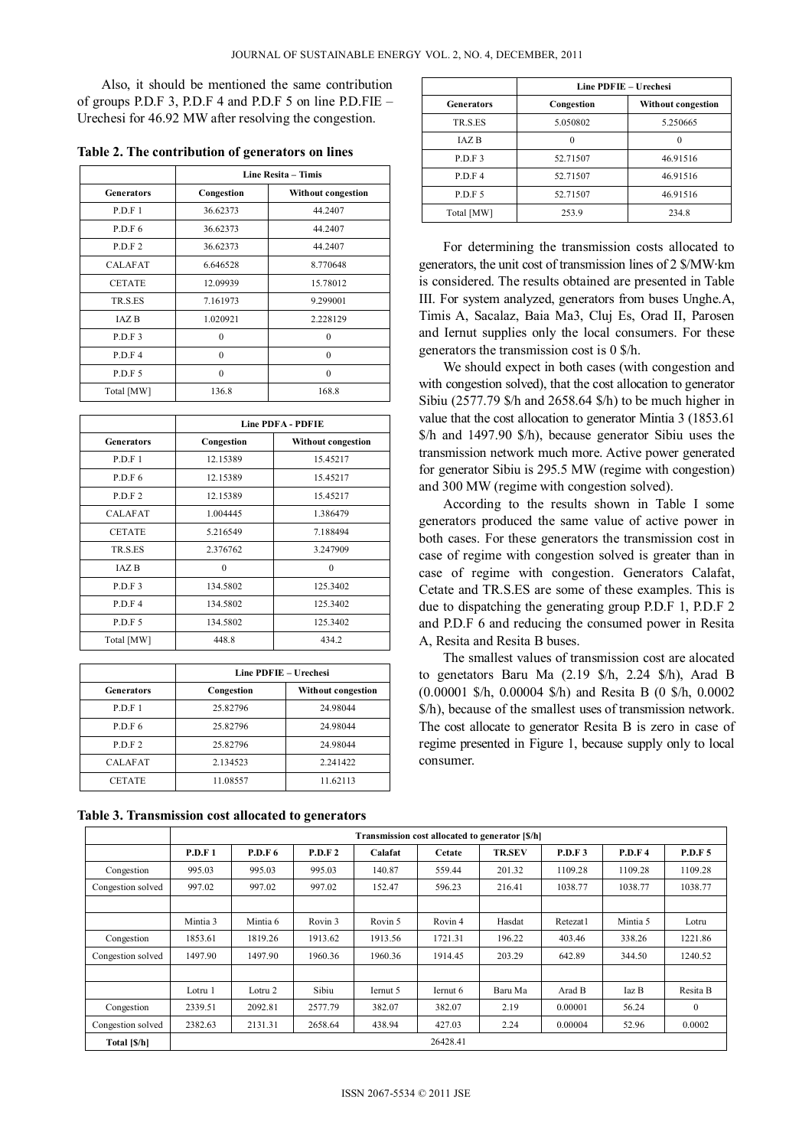Also, it should be mentioned the same contribution of groups P.D.F 3, P.D.F 4 and P.D.F 5 on line P.D.FIE – Urechesi for 46.92 MW after resolving the congestion.

**Table 2. The contribution of generators on lines** 

|                   | Line Resita - Timis |                    |  |  |  |  |
|-------------------|---------------------|--------------------|--|--|--|--|
| <b>Generators</b> | Congestion          | Without congestion |  |  |  |  |
| P.D.F1            | 36.62373            | 44.2407            |  |  |  |  |
| P D F 6           | 36.62373            | 44.2407            |  |  |  |  |
| P D F 2           | 36.62373            | 44.2407            |  |  |  |  |
| <b>CALAFAT</b>    | 6.646528            | 8.770648           |  |  |  |  |
| <b>CETATE</b>     | 12.09939            | 15.78012           |  |  |  |  |
| TR.S.ES           | 7.161973            | 9.299001           |  |  |  |  |
| <b>JAZB</b>       | 1.020921            | 2.228129           |  |  |  |  |
| P.D.F3            | $\theta$            | $\theta$           |  |  |  |  |
| P D F 4           | $\theta$            | $\theta$           |  |  |  |  |
| P.D.F 5           | $\theta$            | $\theta$           |  |  |  |  |
| Total [MW]        | 136.8               | 168.8              |  |  |  |  |

|                   | <b>Line PDFA - PDFIE</b> |                    |  |  |  |  |
|-------------------|--------------------------|--------------------|--|--|--|--|
| <b>Generators</b> | Congestion               | Without congestion |  |  |  |  |
| P.D.F1            | 12.15389                 | 15.45217           |  |  |  |  |
| P.D.F 6           | 12.15389                 | 15.45217           |  |  |  |  |
| P.D.F 2           | 12.15389                 | 15.45217           |  |  |  |  |
| <b>CALAFAT</b>    | 1.004445                 | 1.386479           |  |  |  |  |
| <b>CETATE</b>     | 5.216549                 | 7.188494           |  |  |  |  |
| TR.S.ES           | 2.376762                 | 3.247909           |  |  |  |  |
| IAZ B             | 0                        | $\theta$           |  |  |  |  |
| P.D.F3            | 134.5802                 | 125.3402           |  |  |  |  |
| P D F 4           | 134.5802                 | 125.3402           |  |  |  |  |
| P.D.F 5           | 134.5802                 | 125.3402           |  |  |  |  |
| Total [MW]        | 448.8                    | 434.2              |  |  |  |  |

|                   | Line PDFIE - Urechesi |                    |  |  |  |
|-------------------|-----------------------|--------------------|--|--|--|
| <b>Generators</b> | Congestion            | Without congestion |  |  |  |
| P.D.F1            | 25.82796              | 24.98044           |  |  |  |
| P.D.F 6           | 25.82796              | 24.98044           |  |  |  |
| P D F 2           | 25.82796              | 24.98044           |  |  |  |
| <b>CALAFAT</b>    | 2.134523              | 2.241422           |  |  |  |
| <b>CETATE</b>     | 11.08557              | 11.62113           |  |  |  |

**Table 3. Transmission cost allocated to generators** 

|                   | <b>Line PDFIE - Urechesi</b> |                    |  |  |  |  |
|-------------------|------------------------------|--------------------|--|--|--|--|
| <b>Generators</b> | Congestion                   | Without congestion |  |  |  |  |
| TR.S.ES           | 5.050802                     | 5.250665           |  |  |  |  |
| <b>JAZB</b>       |                              |                    |  |  |  |  |
| P.D.F 3           | 52.71507                     | 46.91516           |  |  |  |  |
| P.D.F 4           | 52.71507                     | 46.91516           |  |  |  |  |
| P.D.F 5           | 52.71507                     | 46.91516           |  |  |  |  |
| Total [MW]        | 253.9                        | 234.8              |  |  |  |  |

For determining the transmission costs allocated to generators, the unit cost of transmission lines of 2 \$/MW·km is considered. The results obtained are presented in Table III. For system analyzed, generators from buses Unghe.A, Timis A, Sacalaz, Baia Ma3, Cluj Es, Orad II, Parosen and Iernut supplies only the local consumers. For these generators the transmission cost is 0 \$/h.

We should expect in both cases (with congestion and with congestion solved), that the cost allocation to generator Sibiu (2577.79 \$/h and 2658.64 \$/h) to be much higher in value that the cost allocation to generator Mintia 3 (1853.61 \$/h and 1497.90 \$/h), because generator Sibiu uses the transmission network much more. Active power generated for generator Sibiu is 295.5 MW (regime with congestion) and 300 MW (regime with congestion solved).

According to the results shown in Table I some generators produced the same value of active power in both cases. For these generators the transmission cost in case of regime with congestion solved is greater than in case of regime with congestion. Generators Calafat, Cetate and TR.S.ES are some of these examples. This is due to dispatching the generating group P.D.F 1, P.D.F 2 and P.D.F 6 and reducing the consumed power in Resita A, Resita and Resita B buses.

The smallest values of transmission cost are alocated to genetators Baru Ma (2.19 \$/h, 2.24 \$/h), Arad B (0.00001 \$/h, 0.00004 \$/h) and Resita B (0 \$/h, 0.0002 \$/h), because of the smallest uses of transmission network. The cost allocate to generator Resita B is zero in case of regime presented in Figure 1, because supply only to local consumer.

|                   | Transmission cost allocated to generator [\$/h] |                |         |          |                    |               |          |               |              |
|-------------------|-------------------------------------------------|----------------|---------|----------|--------------------|---------------|----------|---------------|--------------|
|                   | <b>P.D.F1</b>                                   | <b>P.D.F 6</b> | P.D.F 2 | Calafat  | Cetate             | <b>TR.SEV</b> | P.D.F3   | <b>P.D.F4</b> | P.D.F 5      |
| Congestion        | 995.03                                          | 995.03         | 995.03  | 140.87   | 559.44             | 201.32        | 1109.28  | 1109.28       | 1109.28      |
| Congestion solved | 997.02                                          | 997.02         | 997.02  | 152.47   | 596.23             | 216.41        | 1038.77  | 1038.77       | 1038.77      |
|                   |                                                 |                |         |          |                    |               |          |               |              |
|                   | Mintia 3                                        | Mintia 6       | Rovin 3 | Rovin 5  | Rovin <sub>4</sub> | Hasdat        | Retezat1 | Mintia 5      | Lotru        |
| Congestion        | 1853.61                                         | 1819.26        | 1913.62 | 1913.56  | 1721.31            | 196.22        | 403.46   | 338.26        | 1221.86      |
| Congestion solved | 1497.90                                         | 1497.90        | 1960.36 | 1960.36  | 1914.45            | 203.29        | 642.89   | 344.50        | 1240.52      |
|                   |                                                 |                |         |          |                    |               |          |               |              |
|                   | Lotru 1                                         | Lotru 2        | Sibiu   | Iernut 5 | Iernut 6           | Baru Ma       | Arad B   | Iaz B         | Resita B     |
| Congestion        | 2339.51                                         | 2092.81        | 2577.79 | 382.07   | 382.07             | 2.19          | 0.00001  | 56.24         | $\mathbf{0}$ |
| Congestion solved | 2382.63                                         | 2131.31        | 2658.64 | 438.94   | 427.03             | 2.24          | 0.00004  | 52.96         | 0.0002       |
| Total [\$/h]      |                                                 |                |         |          | 26428.41           |               |          |               |              |